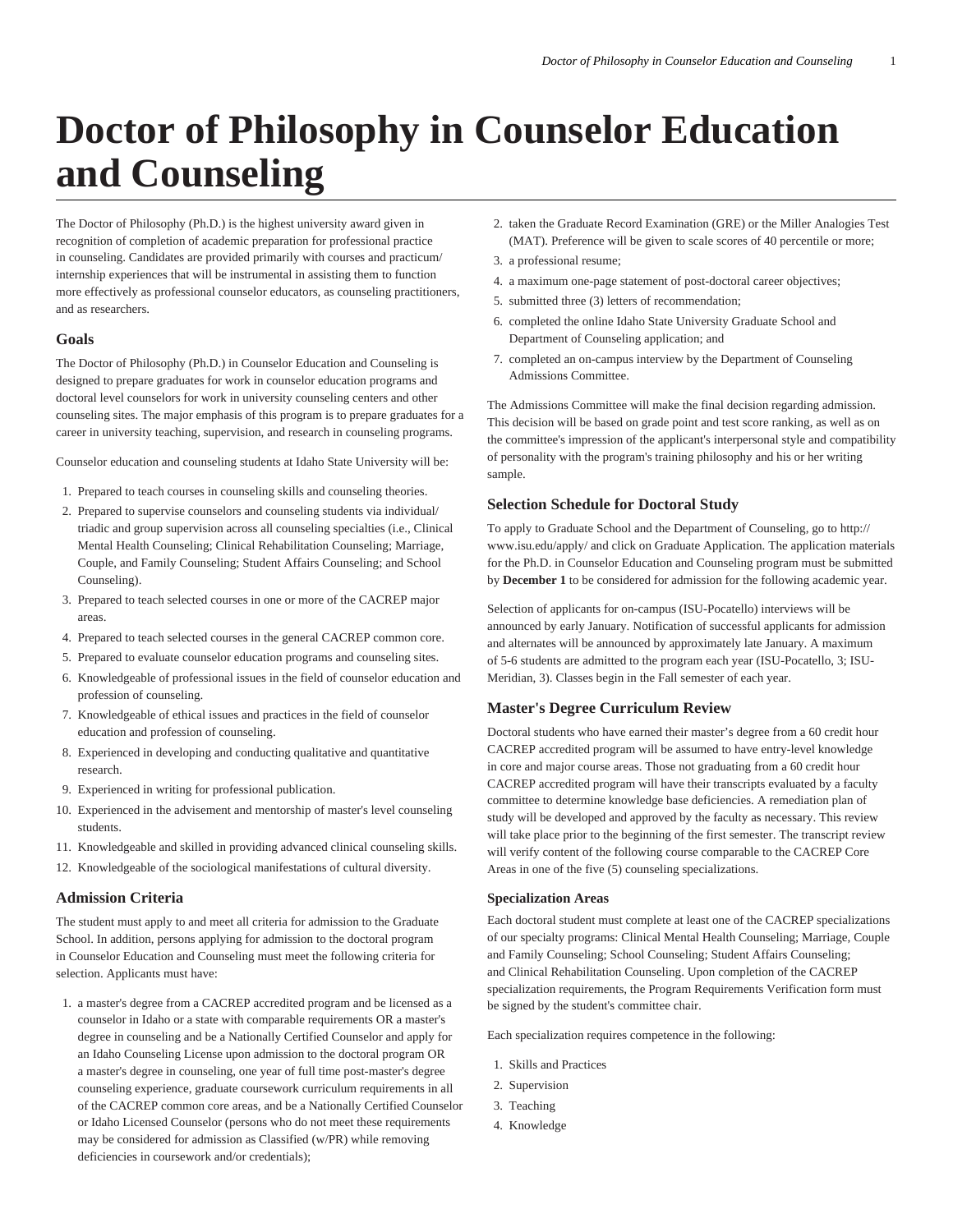# **Doctor of Philosophy in Counselor Education and Counseling**

The Doctor of Philosophy (Ph.D.) is the highest university award given in recognition of completion of academic preparation for professional practice in counseling. Candidates are provided primarily with courses and practicum/ internship experiences that will be instrumental in assisting them to function more effectively as professional counselor educators, as counseling practitioners, and as researchers.

### **Goals**

The Doctor of Philosophy (Ph.D.) in Counselor Education and Counseling is designed to prepare graduates for work in counselor education programs and doctoral level counselors for work in university counseling centers and other counseling sites. The major emphasis of this program is to prepare graduates for a career in university teaching, supervision, and research in counseling programs.

Counselor education and counseling students at Idaho State University will be:

- 1. Prepared to teach courses in counseling skills and counseling theories.
- 2. Prepared to supervise counselors and counseling students via individual/ triadic and group supervision across all counseling specialties (i.e., Clinical Mental Health Counseling; Clinical Rehabilitation Counseling; Marriage, Couple, and Family Counseling; Student Affairs Counseling; and School Counseling).
- 3. Prepared to teach selected courses in one or more of the CACREP major areas.
- 4. Prepared to teach selected courses in the general CACREP common core.
- 5. Prepared to evaluate counselor education programs and counseling sites.
- 6. Knowledgeable of professional issues in the field of counselor education and profession of counseling.
- 7. Knowledgeable of ethical issues and practices in the field of counselor education and profession of counseling.
- 8. Experienced in developing and conducting qualitative and quantitative research.
- 9. Experienced in writing for professional publication.
- 10. Experienced in the advisement and mentorship of master's level counseling students.
- 11. Knowledgeable and skilled in providing advanced clinical counseling skills.
- 12. Knowledgeable of the sociological manifestations of cultural diversity.

## **Admission Criteria**

The student must apply to and meet all criteria for admission to the Graduate School. In addition, persons applying for admission to the doctoral program in Counselor Education and Counseling must meet the following criteria for selection. Applicants must have:

1. a master's degree from a CACREP accredited program and be licensed as a counselor in Idaho or a state with comparable requirements OR a master's degree in counseling and be a Nationally Certified Counselor and apply for an Idaho Counseling License upon admission to the doctoral program OR a master's degree in counseling, one year of full time post-master's degree counseling experience, graduate coursework curriculum requirements in all of the CACREP common core areas, and be a Nationally Certified Counselor or Idaho Licensed Counselor (persons who do not meet these requirements may be considered for admission as Classified (w/PR) while removing deficiencies in coursework and/or credentials);

- 2. taken the Graduate Record Examination (GRE) or the Miller Analogies Test (MAT). Preference will be given to scale scores of 40 percentile or more;
- 3. a professional resume;
- 4. a maximum one-page statement of post-doctoral career objectives;
- 5. submitted three (3) letters of recommendation;
- 6. completed the online Idaho State University Graduate School and Department of Counseling application; and
- 7. completed an on-campus interview by the Department of Counseling Admissions Committee.

The Admissions Committee will make the final decision regarding admission. This decision will be based on grade point and test score ranking, as well as on the committee's impression of the applicant's interpersonal style and compatibility of personality with the program's training philosophy and his or her writing sample.

## **Selection Schedule for Doctoral Study**

To apply to Graduate School and the Department of Counseling, go to http:// www.isu.edu/apply/ and click on Graduate Application. The application materials for the Ph.D. in Counselor Education and Counseling program must be submitted by **December 1** to be considered for admission for the following academic year.

Selection of applicants for on-campus (ISU-Pocatello) interviews will be announced by early January. Notification of successful applicants for admission and alternates will be announced by approximately late January. A maximum of 5-6 students are admitted to the program each year (ISU-Pocatello, 3; ISU-Meridian, 3). Classes begin in the Fall semester of each year.

## **Master's Degree Curriculum Review**

Doctoral students who have earned their master's degree from a 60 credit hour CACREP accredited program will be assumed to have entry-level knowledge in core and major course areas. Those not graduating from a 60 credit hour CACREP accredited program will have their transcripts evaluated by a faculty committee to determine knowledge base deficiencies. A remediation plan of study will be developed and approved by the faculty as necessary. This review will take place prior to the beginning of the first semester. The transcript review will verify content of the following course comparable to the CACREP Core Areas in one of the five (5) counseling specializations.

## **Specialization Areas**

Each doctoral student must complete at least one of the CACREP specializations of our specialty programs: Clinical Mental Health Counseling; Marriage, Couple and Family Counseling; School Counseling; Student Affairs Counseling; and Clinical Rehabilitation Counseling. Upon completion of the CACREP specialization requirements, the Program Requirements Verification form must be signed by the student's committee chair.

Each specialization requires competence in the following:

- 1. Skills and Practices
- 2. Supervision
- 3. Teaching
- 4. Knowledge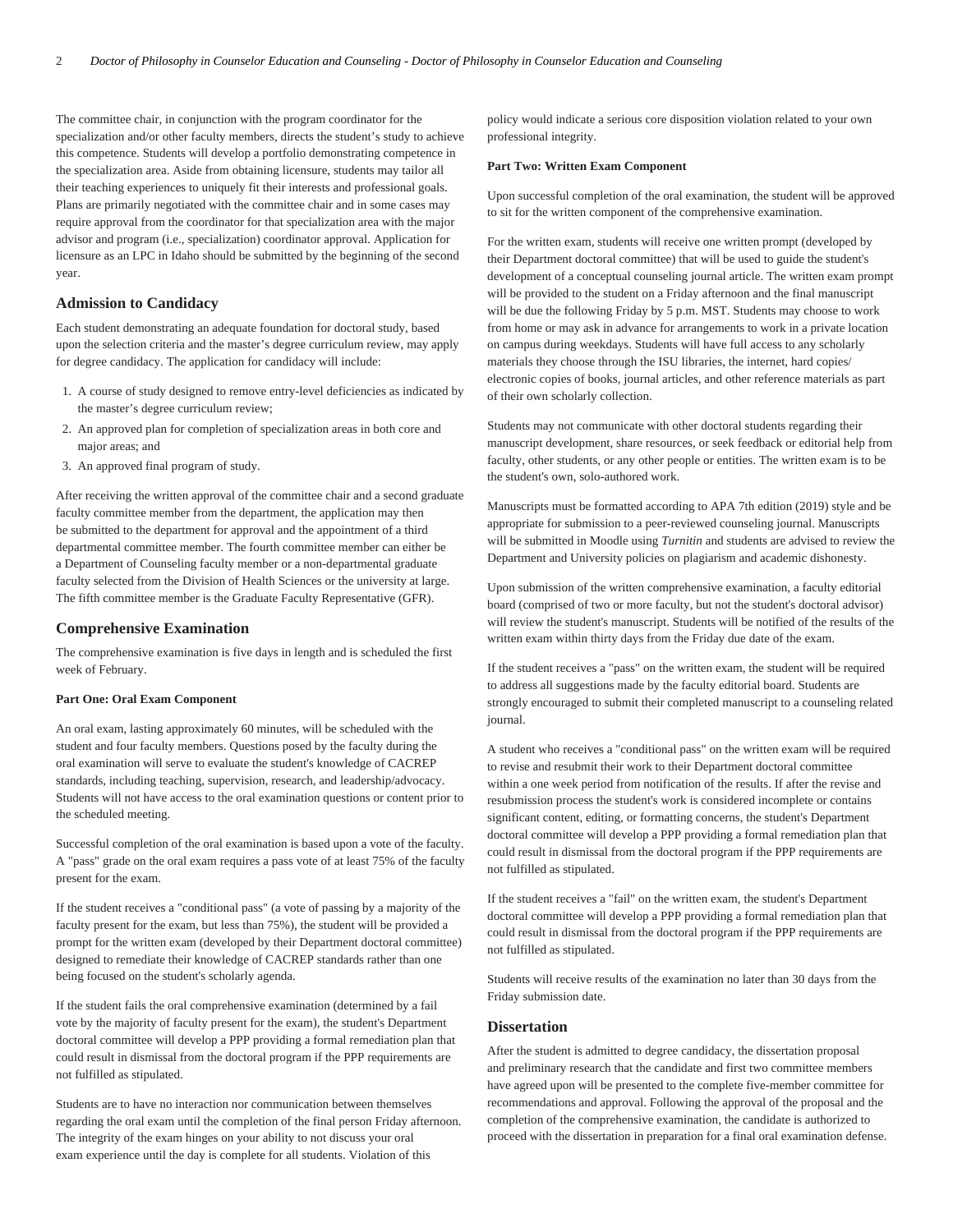The committee chair, in conjunction with the program coordinator for the specialization and/or other faculty members, directs the student's study to achieve this competence. Students will develop a portfolio demonstrating competence in the specialization area. Aside from obtaining licensure, students may tailor all their teaching experiences to uniquely fit their interests and professional goals. Plans are primarily negotiated with the committee chair and in some cases may require approval from the coordinator for that specialization area with the major advisor and program (i.e., specialization) coordinator approval. Application for licensure as an LPC in Idaho should be submitted by the beginning of the second year.

## **Admission to Candidacy**

Each student demonstrating an adequate foundation for doctoral study, based upon the selection criteria and the master's degree curriculum review, may apply for degree candidacy. The application for candidacy will include:

- 1. A course of study designed to remove entry-level deficiencies as indicated by the master's degree curriculum review;
- 2. An approved plan for completion of specialization areas in both core and major areas; and
- 3. An approved final program of study.

After receiving the written approval of the committee chair and a second graduate faculty committee member from the department, the application may then be submitted to the department for approval and the appointment of a third departmental committee member. The fourth committee member can either be a Department of Counseling faculty member or a non-departmental graduate faculty selected from the Division of Health Sciences or the university at large. The fifth committee member is the Graduate Faculty Representative (GFR).

#### **Comprehensive Examination**

The comprehensive examination is five days in length and is scheduled the first week of February.

## **Part One: Oral Exam Component**

An oral exam, lasting approximately 60 minutes, will be scheduled with the student and four faculty members. Questions posed by the faculty during the oral examination will serve to evaluate the student's knowledge of CACREP standards, including teaching, supervision, research, and leadership/advocacy. Students will not have access to the oral examination questions or content prior to the scheduled meeting.

Successful completion of the oral examination is based upon a vote of the faculty. A "pass" grade on the oral exam requires a pass vote of at least 75% of the faculty present for the exam.

If the student receives a "conditional pass" (a vote of passing by a majority of the faculty present for the exam, but less than 75%), the student will be provided a prompt for the written exam (developed by their Department doctoral committee) designed to remediate their knowledge of CACREP standards rather than one being focused on the student's scholarly agenda.

If the student fails the oral comprehensive examination (determined by a fail vote by the majority of faculty present for the exam), the student's Department doctoral committee will develop a PPP providing a formal remediation plan that could result in dismissal from the doctoral program if the PPP requirements are not fulfilled as stipulated.

Students are to have no interaction nor communication between themselves regarding the oral exam until the completion of the final person Friday afternoon. The integrity of the exam hinges on your ability to not discuss your oral exam experience until the day is complete for all students. Violation of this

policy would indicate a serious core disposition violation related to your own professional integrity.

#### **Part Two: Written Exam Component**

Upon successful completion of the oral examination, the student will be approved to sit for the written component of the comprehensive examination.

For the written exam, students will receive one written prompt (developed by their Department doctoral committee) that will be used to guide the student's development of a conceptual counseling journal article. The written exam prompt will be provided to the student on a Friday afternoon and the final manuscript will be due the following Friday by 5 p.m. MST. Students may choose to work from home or may ask in advance for arrangements to work in a private location on campus during weekdays. Students will have full access to any scholarly materials they choose through the ISU libraries, the internet, hard copies/ electronic copies of books, journal articles, and other reference materials as part of their own scholarly collection.

Students may not communicate with other doctoral students regarding their manuscript development, share resources, or seek feedback or editorial help from faculty, other students, or any other people or entities. The written exam is to be the student's own, solo-authored work.

Manuscripts must be formatted according to APA 7th edition (2019) style and be appropriate for submission to a peer-reviewed counseling journal. Manuscripts will be submitted in Moodle using *Turnitin* and students are advised to review the Department and University policies on plagiarism and academic dishonesty.

Upon submission of the written comprehensive examination, a faculty editorial board (comprised of two or more faculty, but not the student's doctoral advisor) will review the student's manuscript. Students will be notified of the results of the written exam within thirty days from the Friday due date of the exam.

If the student receives a "pass" on the written exam, the student will be required to address all suggestions made by the faculty editorial board. Students are strongly encouraged to submit their completed manuscript to a counseling related journal.

A student who receives a "conditional pass" on the written exam will be required to revise and resubmit their work to their Department doctoral committee within a one week period from notification of the results. If after the revise and resubmission process the student's work is considered incomplete or contains significant content, editing, or formatting concerns, the student's Department doctoral committee will develop a PPP providing a formal remediation plan that could result in dismissal from the doctoral program if the PPP requirements are not fulfilled as stipulated.

If the student receives a "fail" on the written exam, the student's Department doctoral committee will develop a PPP providing a formal remediation plan that could result in dismissal from the doctoral program if the PPP requirements are not fulfilled as stipulated.

Students will receive results of the examination no later than 30 days from the Friday submission date.

## **Dissertation**

After the student is admitted to degree candidacy, the dissertation proposal and preliminary research that the candidate and first two committee members have agreed upon will be presented to the complete five-member committee for recommendations and approval. Following the approval of the proposal and the completion of the comprehensive examination, the candidate is authorized to proceed with the dissertation in preparation for a final oral examination defense.